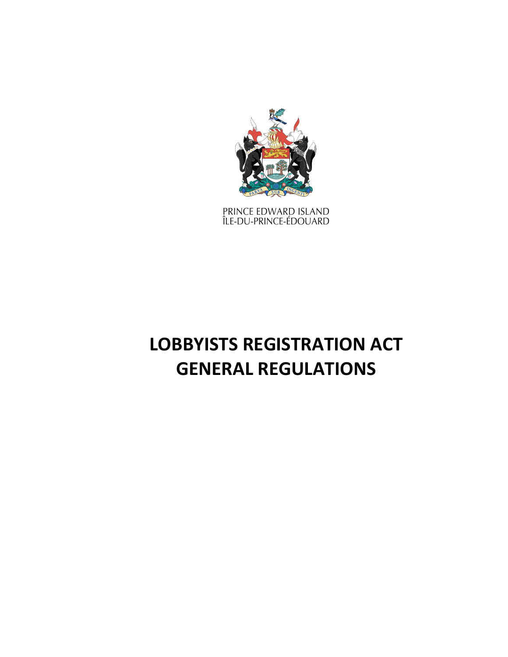

PRINCE EDWARD ISLAND<br>ÎLE-DU-PRINCE-ÉDOUARD

# **LOBBYISTS REGISTRATION ACT GENERAL REGULATIONS**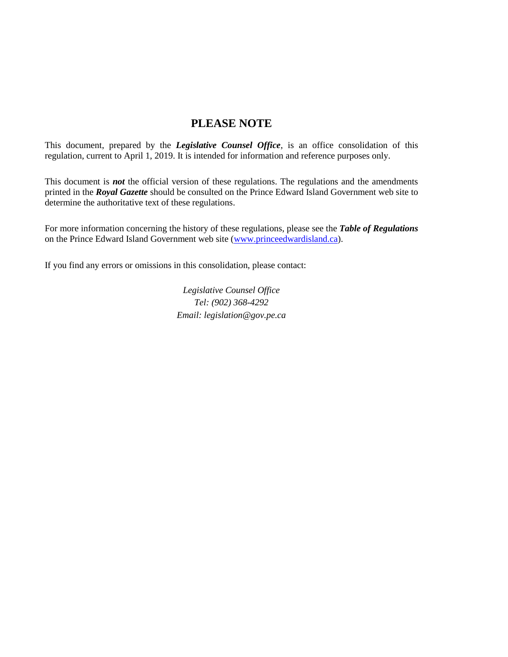# **PLEASE NOTE**

This document, prepared by the *[Legislative](http://www.gov.pe.ca/jps/index.php3?number=1027247) Counsel Office*, is an office consolidation of this regulation, current to April 1, 2019. It is intended for information and reference purposes only.

This document is *not* the official version of these regulations. The regulations and the amendments printed in the *Royal Gazette* should be consulted on the Prince Edward Island Government web site to determine the authoritative text of these regulations.

For more information concerning the history of these regulations, please see the *[Table of Regulations](https://www.princeedwardisland.ca/sites/default/files/publications/leg_table_acts.pdf)* on the Prince Edward Island Government web site [\(www.princeedwardisland.ca\)](http://www.princeedwardisland.ca/).

If you find any errors or omissions in this consolidation, please contact:

*Legislative Counsel Office Tel: (902) 368-4292 Email: legislation@gov.pe.ca*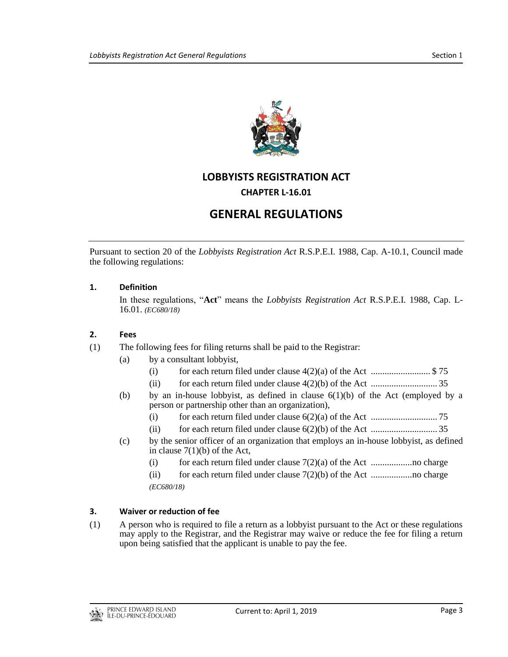

# **LOBBYISTS REGISTRATION ACT**

# **CHAPTER L-16.01**

# **GENERAL REGULATIONS**

Pursuant to section 20 of the *Lobbyists Registration Act* R.S.P.E.I. 1988, Cap. A-10.1, Council made the following regulations:

#### **1. Definition**

In these regulations, "**Act**" means the *Lobbyists Registration Act* R.S.P.E.I. 1988, Cap. L-16.01. *(EC680/18)*

#### **2. Fees**

- (1) The following fees for filing returns shall be paid to the Registrar:
	- (a) by a consultant lobbyist,
		- (i) for each return filed under clause  $4(2)(a)$  of the Act ............................. \$ 75
		- (ii) for each return filed under clause 4(2)(b) of the Act ............................. 35
	- (b) by an in-house lobbyist, as defined in clause  $6(1)(b)$  of the Act (employed by a person or partnership other than an organization),
		- (i) for each return filed under clause 6(2)(a) of the Act ............................. 75
		- (ii) for each return filed under clause 6(2)(b) of the Act ............................. 35
	- (c) by the senior officer of an organization that employs an in-house lobbyist, as defined in clause  $7(1)(b)$  of the Act,
		- (i) for each return filed under clause 7(2)(a) of the Act ..................no charge
		- (ii) for each return filed under clause 7(2)(b) of the Act ..................no charge *(EC680/18)*

# **3. Waiver or reduction of fee**

(1) A person who is required to file a return as a lobbyist pursuant to the Act or these regulations may apply to the Registrar, and the Registrar may waive or reduce the fee for filing a return upon being satisfied that the applicant is unable to pay the fee.